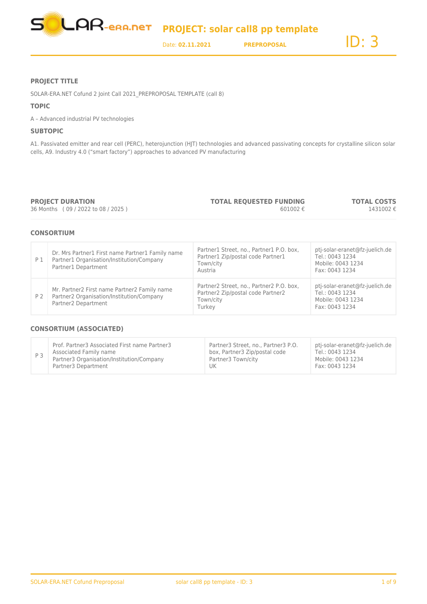

### **PROJECT TITLE**

SOLAR-ERA.NET Cofund 2 Joint Call 2021\_PREPROPOSAL TEMPLATE (call 8)

### **TOPIC**

A – Advanced industrial PV technologies

### **SUBTOPIC**

A1. Passivated emitter and rear cell (PERC), heterojunction (HJT) technologies and advanced passivating concepts for crystalline silicon solar cells, A9. Industry 4.0 ("smart factory") approaches to advanced PV manufacturing

**PROJECT DURATION** 36 Months ( 09 / 2022 to 08 / 2025 ) **TOTAL REQUESTED FUNDING** 601002 €

**TOTAL COSTS** 1431002 €

### **CONSORTIUM**

| P 1 | Dr. Mrs Partner1 First name Partner1 Family name<br>Partner1 Organisation/Institution/Company<br>Partner1 Department | Partner1 Street, no., Partner1 P.O. box,<br>Partner1 Zip/postal code Partner1<br>Town/city<br>Austria | ptj-solar-eranet@fz-juelich.de<br>Tel.: 0043 1234<br>Mobile: 0043 1234<br>Fax: 0043 1234 |
|-----|----------------------------------------------------------------------------------------------------------------------|-------------------------------------------------------------------------------------------------------|------------------------------------------------------------------------------------------|
| P 2 | Mr. Partner2 First name Partner2 Family name<br>Partner2 Organisation/Institution/Company<br>Partner2 Department     | Partner2 Street, no., Partner2 P.O. box,<br>Partner2 Zip/postal code Partner2<br>Town/city<br>Turkey  | pti-solar-eranet@fz-juelich.de<br>Tel.: 0043 1234<br>Mobile: 0043 1234<br>Fax: 0043 1234 |

### **CONSORTIUM (ASSOCIATED)**

| P <sub>3</sub> | Prof. Partner3 Associated First name Partner3 | Partner3 Street, no., Partner3 P.O. | pti-solar-eranet@fz-juelich.de |
|----------------|-----------------------------------------------|-------------------------------------|--------------------------------|
|                | Associated Family name                        | box, Partner3 Zip/postal code       | Tel.: 0043 1234                |
|                | Partner3 Organisation/Institution/Company     | Partner3 Town/city                  | Mobile: 0043 1234              |
|                | Partner3 Department                           | UK                                  | Fax: 0043 1234                 |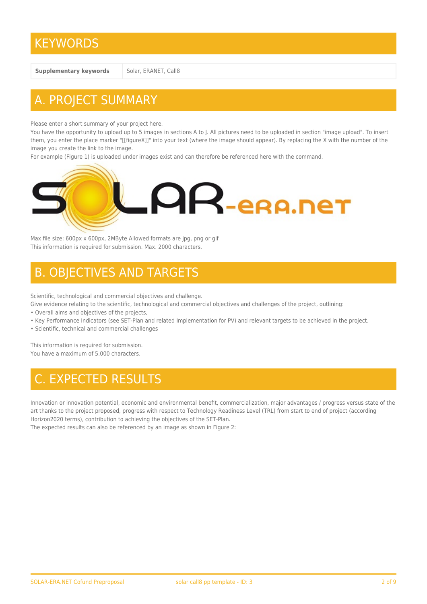## **KEYWORDS**

**Supplementary keywords** Solar, ERANET, Call8

# A. PROJECT SUMMARY

Please enter a short summary of your project here.

You have the opportunity to upload up to 5 images in sections A to J. All pictures need to be uploaded in section "image upload". To insert them, you enter the place marker "[[figureX]]" into your text (where the image should appear). By replacing the X with the number of the image you create the link to the image.

For example (Figure 1) is uploaded under images exist and can therefore be referenced here with the command.



Max file size: 600px x 600px, 2MByte Allowed formats are jpg, png or gif This information is required for submission. Max. 2000 characters.

## B. OBJECTIVES AND TARGETS

Scientific, technological and commercial objectives and challenge.

Give evidence relating to the scientific, technological and commercial objectives and challenges of the project, outlining:

- Overall aims and objectives of the projects,
- Key Performance Indicators (see SET-Plan and related Implementation for PV) and relevant targets to be achieved in the project.
- Scientific, technical and commercial challenges

This information is required for submission. You have a maximum of 5.000 characters.

# C. EXPECTED RESULTS

Innovation or innovation potential, economic and environmental benefit, commercialization, major advantages / progress versus state of the art thanks to the project proposed, progress with respect to Technology Readiness Level (TRL) from start to end of project (according Horizon2020 terms), contribution to achieving the objectives of the SET-Plan.

The expected results can also be referenced by an image as shown in Figure 2: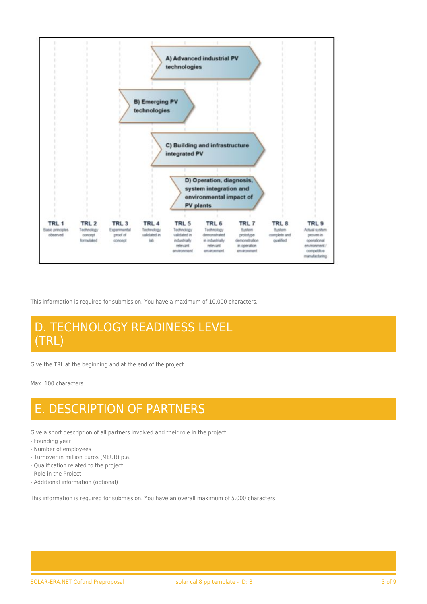

This information is required for submission. You have a maximum of 10.000 characters.

## D. TECHNOLOGY READINESS LEVEL (TRL)

Give the TRL at the beginning and at the end of the project.

Max. 100 characters.

## E. DESCRIPTION OF PARTNERS

Give a short description of all partners involved and their role in the project:

- Founding year
- Number of employees
- Turnover in million Euros (MEUR) p.a.
- Qualification related to the project
- Role in the Project
- Additional information (optional)

This information is required for submission. You have an overall maximum of 5.000 characters.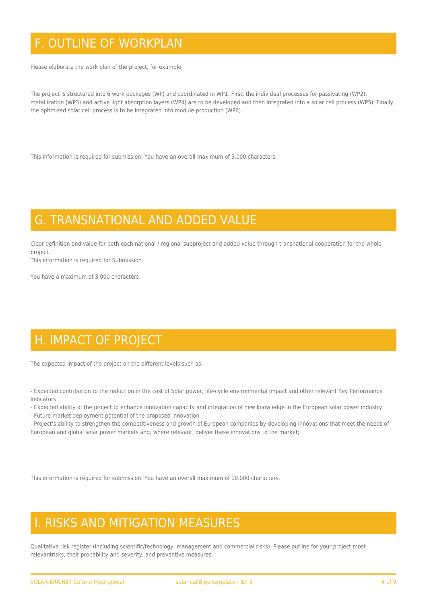# F. OUTLINE OF WORKPLAN

Please elaborate the work plan of the project, for example:

The project is structured into 6 work packages (WP) and coordinated in WP1. First, the individual processes for passivating (WP2), metallization (WP3) and active light absorption layers (WP4) are to be developed and then integrated into a solar cell process (WP5). Finally, the optimized solar cell process is to be integrated into module production (WP6).

This information is required for submission. You have an overall maximum of 5.000 characters.

## G. TRANSNATIONAL AND ADDED VALUE

Clear definition and value for both each national / regional subproject and added value through transnational cooperation for the whole project.

This information is required for Submission.

You have a maximum of 3.000 characters.

# H. IMPACT OF PROJECT

The expected impact of the project on the different levels such as

- Expected contribution to the reduction in the cost of Solar power, life-cycle environmental impact and other relevant Key Performance Indicators

- Expected ability of the project to enhance innovation capacity and integration of new knowledge in the European solar power industry

- Future market deployment potential of the proposed innovation

- Project's ability to strengthen the competitiveness and growth of European companies by developing innovations that meet the needs of European and global solar power markets and, where relevant, deliver these innovations to the market;

This information is required for submission. You have an overall maximum of 10.000 characters.

## I. RISKS AND MITIGATION MEASURES

Qualitative risk register (including scientific/technology, management and commercial risks). Please outline for your project most relevantrisks, their probability and severity, and preventive measures.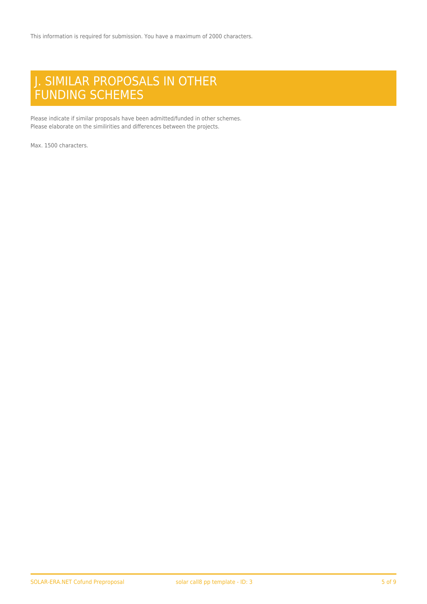## J. SIMILAR PROPOSALS IN OTHER FUNDING SCHEMES

Please indicate if similar proposals have been admitted/funded in other schemes. Please elaborate on the similirities and differences between the projects.

Max. 1500 characters.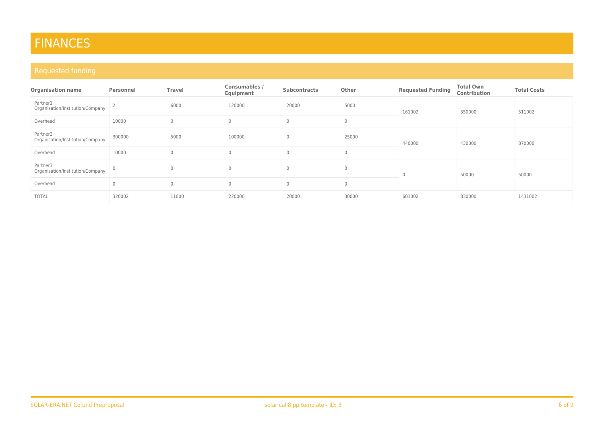# FINANCES

| <b>Organisation name</b>                     | Personnel      | <b>Travel</b> | Consumables /<br>Equipment | <b>Subcontracts</b> | Other        | <b>Requested Funding</b> | <b>Total Own</b><br>Contribution | <b>Total Costs</b> |
|----------------------------------------------|----------------|---------------|----------------------------|---------------------|--------------|--------------------------|----------------------------------|--------------------|
| Partner1<br>Organisation/Institution/Company |                | 6000          | 120000                     | 20000               | 5000         | 161002                   | 350000                           | 511002             |
| Overhead                                     | 10000          | $\Omega$      |                            | $\Omega$            | $\mathbf{0}$ |                          |                                  |                    |
| Partner2<br>Organisation/Institution/Company | 300000         | 5000          | 100000                     | $\mathbf{0}$        | 25000        | 440000                   | 430000                           | 870000             |
| Overhead                                     | 10000          |               | $\bigcap$                  | $\Omega$            | $\mathbf{0}$ |                          |                                  |                    |
| Partner3<br>Organisation/Institution/Company | $\overline{0}$ |               |                            |                     | $\Omega$     | $\Omega$                 | 50000                            | 50000              |
| Overhead                                     |                |               | $\Omega$                   | $\Omega$            | $\mathbf{0}$ |                          |                                  |                    |
| <b>TOTAL</b>                                 | 320002         | 11000         | 220000                     | 20000               | 30000        | 601002                   | 830000                           | 1431002            |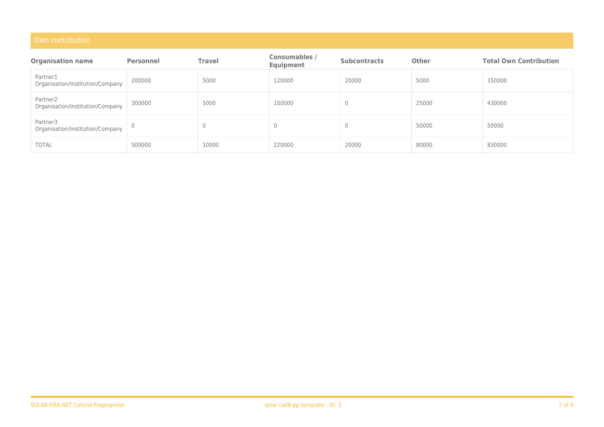| <b>Organisation name</b>                     | <b>Personnel</b> | <b>Travel</b> | <b>Consumables /</b><br>Equipment | <b>Subcontracts</b> | <b>Other</b> | <b>Total Own Contribution</b> |
|----------------------------------------------|------------------|---------------|-----------------------------------|---------------------|--------------|-------------------------------|
| Partner1<br>Organisation/Institution/Company | 200000           | 5000          | 120000                            | 20000               | 5000         | 350000                        |
| Partner2<br>Organisation/Institution/Company | 300000           | 5000          | 100000                            | 0                   | 25000        | 430000                        |
| Partner3<br>Organisation/Institution/Company |                  |               |                                   | 0                   | 50000        | 50000                         |
| <b>TOTAL</b>                                 | 500000           | 10000         | 220000                            | 20000               | 80000        | 830000                        |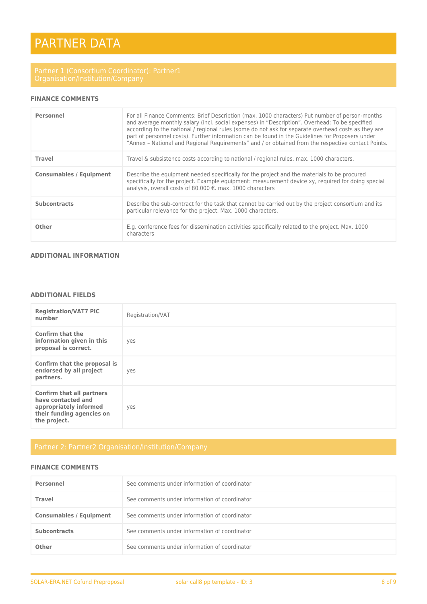# PARTNER DATA

## **FINANCE COMMENTS**

| Personnel                      | For all Finance Comments: Brief Description (max. 1000 characters) Put number of person-months<br>and average monthly salary (incl. social expenses) in "Description". Overhead: To be specified<br>according to the national / regional rules (some do not ask for separate overhead costs as they are<br>part of personnel costs). Further information can be found in the Guidelines for Proposers under<br>"Annex - National and Regional Reguirements" and / or obtained from the respective contact Points. |
|--------------------------------|-------------------------------------------------------------------------------------------------------------------------------------------------------------------------------------------------------------------------------------------------------------------------------------------------------------------------------------------------------------------------------------------------------------------------------------------------------------------------------------------------------------------|
| <b>Travel</b>                  | Travel & subsistence costs according to national / regional rules. max. 1000 characters.                                                                                                                                                                                                                                                                                                                                                                                                                          |
| <b>Consumables / Equipment</b> | Describe the equipment needed specifically for the project and the materials to be procured<br>specifically for the project. Example equipment: measurement device xy, required for doing special<br>analysis, overall costs of 80.000 €. max. 1000 characters                                                                                                                                                                                                                                                    |
| <b>Subcontracts</b>            | Describe the sub-contract for the task that cannot be carried out by the project consortium and its<br>particular relevance for the project. Max. 1000 characters.                                                                                                                                                                                                                                                                                                                                                |
| Other                          | E.g. conference fees for dissemination activities specifically related to the project. Max. 1000<br>characters                                                                                                                                                                                                                                                                                                                                                                                                    |

## **ADDITIONAL INFORMATION**

## **ADDITIONAL FIELDS**

| <b>Registration/VAT7 PIC</b><br>number                                                                                        | Registration/VAT |
|-------------------------------------------------------------------------------------------------------------------------------|------------------|
| Confirm that the<br>information given in this<br>proposal is correct.                                                         | yes              |
| Confirm that the proposal is<br>endorsed by all project<br>partners.                                                          | yes              |
| <b>Confirm that all partners</b><br>have contacted and<br>appropriately informed<br>their funding agencies on<br>the project. | yes              |

## **FINANCE COMMENTS**

| Personnel                      | See comments under information of coordinator |
|--------------------------------|-----------------------------------------------|
| <b>Travel</b>                  | See comments under information of coordinator |
| <b>Consumables / Equipment</b> | See comments under information of coordinator |
| <b>Subcontracts</b>            | See comments under information of coordinator |
| Other                          | See comments under information of coordinator |